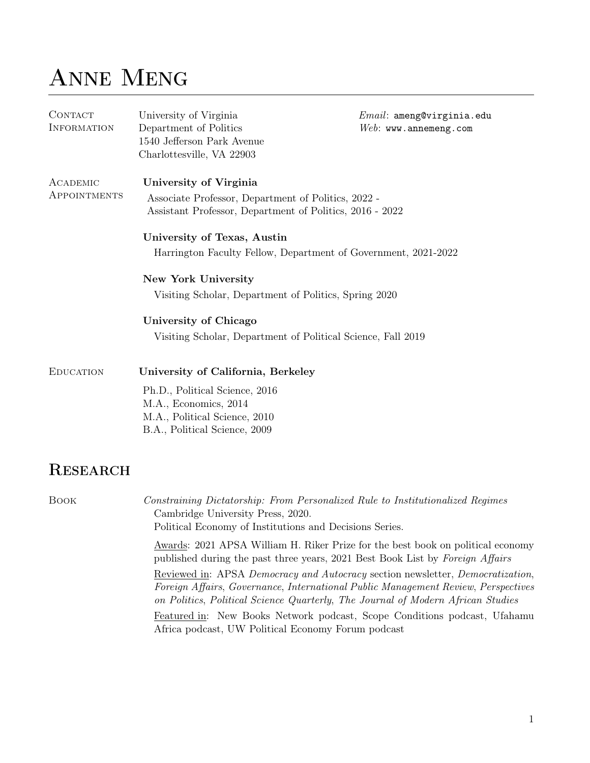## ANNE MENG

| CONTACT<br><b>INFORMATION</b> | University of Virginia<br>Department of Politics<br>1540 Jefferson Park Avenue<br>Charlottesville, VA 22903     | $Email:$ ameng@virginia.edu<br>$Web:$ www.annemeng.com |  |  |  |  |
|-------------------------------|-----------------------------------------------------------------------------------------------------------------|--------------------------------------------------------|--|--|--|--|
| ACADEMIC                      | University of Virginia                                                                                          |                                                        |  |  |  |  |
| APPOINTMENTS                  | Associate Professor, Department of Politics, 2022 -<br>Assistant Professor, Department of Politics, 2016 - 2022 |                                                        |  |  |  |  |
|                               | University of Texas, Austin                                                                                     |                                                        |  |  |  |  |
|                               | Harrington Faculty Fellow, Department of Government, 2021-2022                                                  |                                                        |  |  |  |  |
|                               | <b>New York University</b>                                                                                      |                                                        |  |  |  |  |
|                               | Visiting Scholar, Department of Politics, Spring 2020                                                           |                                                        |  |  |  |  |
|                               | University of Chicago                                                                                           |                                                        |  |  |  |  |
|                               | Visiting Scholar, Department of Political Science, Fall 2019                                                    |                                                        |  |  |  |  |
| <b>EDUCATION</b>              | University of California, Berkeley                                                                              |                                                        |  |  |  |  |
|                               | Ph.D., Political Science, 2016                                                                                  |                                                        |  |  |  |  |
|                               | M.A., Economics, 2014                                                                                           |                                                        |  |  |  |  |
|                               | M.A., Political Science, 2010<br>B.A., Political Science, 2009                                                  |                                                        |  |  |  |  |
| <b>RESEARCH</b>               |                                                                                                                 |                                                        |  |  |  |  |
|                               |                                                                                                                 |                                                        |  |  |  |  |

Book Constraining Dictatorship: From Personalized Rule to Institutionalized Regimes Cambridge University Press, 2020. Political Economy of Institutions and Decisions Series. Awards: 2021 APSA William H. Riker Prize for the best book on political economy published during the past three years, 2021 Best Book List by Foreign Affairs Reviewed in: APSA Democracy and Autocracy section newsletter, Democratization, Foreign Affairs, Governance, International Public Management Review, Perspectives on Politics, Political Science Quarterly, The Journal of Modern African Studies Featured in: New Books Network podcast, Scope Conditions podcast, Ufahamu Africa podcast, UW Political Economy Forum podcast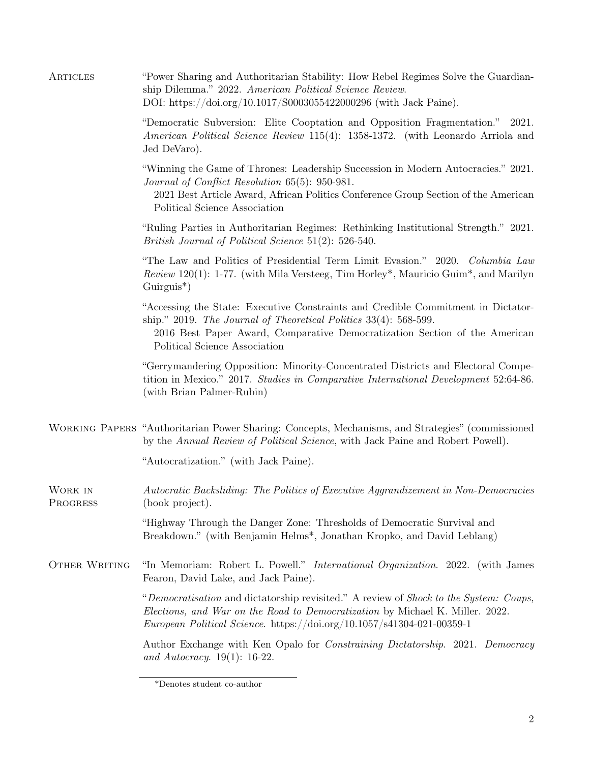| ARTICLES            | "Power Sharing and Authoritarian Stability: How Rebel Regimes Solve the Guardian-<br>ship Dilemma." 2022. American Political Science Review.<br>DOI: https://doi.org/10.1017/S0003055422000296 (with Jack Paine).                                                      |  |  |  |  |  |
|---------------------|------------------------------------------------------------------------------------------------------------------------------------------------------------------------------------------------------------------------------------------------------------------------|--|--|--|--|--|
|                     | "Democratic Subversion: Elite Cooptation and Opposition Fragmentation." 2021.<br>American Political Science Review 115(4): 1358-1372. (with Leonardo Arriola and<br>Jed DeVaro).                                                                                       |  |  |  |  |  |
|                     | "Winning the Game of Thrones: Leadership Succession in Modern Autocracies." 2021.<br>Journal of Conflict Resolution 65(5): 950-981.<br>2021 Best Article Award, African Politics Conference Group Section of the American<br>Political Science Association             |  |  |  |  |  |
|                     | "Ruling Parties in Authoritarian Regimes: Rethinking Institutional Strength." 2021.<br>British Journal of Political Science 51(2): 526-540.                                                                                                                            |  |  |  |  |  |
|                     | "The Law and Politics of Presidential Term Limit Evasion." 2020. Columbia Law<br>Review 120(1): 1-77. (with Mila Versteeg, Tim Horley*, Mauricio Guim*, and Marilyn<br>$Guirguis^*)$                                                                                   |  |  |  |  |  |
|                     | "Accessing the State: Executive Constraints and Credible Commitment in Dictator-<br>ship." 2019. The Journal of Theoretical Politics $33(4)$ : 568-599.<br>2016 Best Paper Award, Comparative Democratization Section of the American<br>Political Science Association |  |  |  |  |  |
|                     | "Gerrymandering Opposition: Minority-Concentrated Districts and Electoral Compe-<br>tition in Mexico." 2017. Studies in Comparative International Development 52:64-86.<br>(with Brian Palmer-Rubin)                                                                   |  |  |  |  |  |
|                     | WORKING PAPERS "Authoritarian Power Sharing: Concepts, Mechanisms, and Strategies" (commissioned<br>by the Annual Review of Political Science, with Jack Paine and Robert Powell).                                                                                     |  |  |  |  |  |
|                     | "Autocratization." (with Jack Paine).                                                                                                                                                                                                                                  |  |  |  |  |  |
| WORK IN<br>PROGRESS | Autocratic Backsliding: The Politics of Executive Aggrandizement in Non-Democracies<br>(book project).                                                                                                                                                                 |  |  |  |  |  |
|                     | "Highway Through the Danger Zone: Thresholds of Democratic Survival and<br>Breakdown." (with Benjamin Helms*, Jonathan Kropko, and David Leblang)                                                                                                                      |  |  |  |  |  |
| OTHER WRITING       | "In Memoriam: Robert L. Powell." <i>International Organization</i> . 2022. (with James<br>Fearon, David Lake, and Jack Paine).                                                                                                                                         |  |  |  |  |  |
|                     | "Democratisation and dictatorship revisited." A review of Shock to the System: Coups,<br>Elections, and War on the Road to Democratization by Michael K. Miller. 2022.<br>European Political Science. https://doi.org/10.1057/s41304-021-00359-1                       |  |  |  |  |  |
|                     | Author Exchange with Ken Opalo for <i>Constraining Dictatorship.</i> 2021. Democracy<br>and Autocracy. $19(1)$ : 16-22.                                                                                                                                                |  |  |  |  |  |

<sup>\*</sup>Denotes student co-author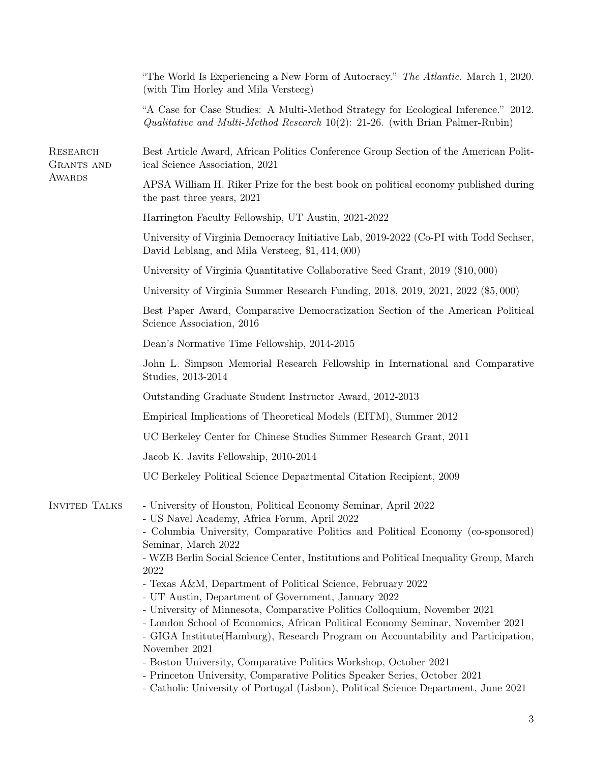|                                      | "The World Is Experiencing a New Form of Autocracy." The Atlantic. March 1, 2020.<br>(with Tim Horley and Mila Versteeg)                                                                                                                                                                                                                                                                                                                                                                                                                                                                                                                                                                                                                                                                                                                                                                                                                                      |
|--------------------------------------|---------------------------------------------------------------------------------------------------------------------------------------------------------------------------------------------------------------------------------------------------------------------------------------------------------------------------------------------------------------------------------------------------------------------------------------------------------------------------------------------------------------------------------------------------------------------------------------------------------------------------------------------------------------------------------------------------------------------------------------------------------------------------------------------------------------------------------------------------------------------------------------------------------------------------------------------------------------|
|                                      | "A Case for Case Studies: A Multi-Method Strategy for Ecological Inference." 2012.<br>Qualitative and Multi-Method Research $10(2)$ : 21-26. (with Brian Palmer-Rubin)                                                                                                                                                                                                                                                                                                                                                                                                                                                                                                                                                                                                                                                                                                                                                                                        |
| <b>RESEARCH</b><br><b>GRANTS AND</b> | Best Article Award, African Politics Conference Group Section of the American Polit-<br>ical Science Association, 2021                                                                                                                                                                                                                                                                                                                                                                                                                                                                                                                                                                                                                                                                                                                                                                                                                                        |
| <b>AWARDS</b>                        | APSA William H. Riker Prize for the best book on political economy published during<br>the past three years, 2021                                                                                                                                                                                                                                                                                                                                                                                                                                                                                                                                                                                                                                                                                                                                                                                                                                             |
|                                      | Harrington Faculty Fellowship, UT Austin, 2021-2022                                                                                                                                                                                                                                                                                                                                                                                                                                                                                                                                                                                                                                                                                                                                                                                                                                                                                                           |
|                                      | University of Virginia Democracy Initiative Lab, 2019-2022 (Co-PI with Todd Sechser,<br>David Leblang, and Mila Versteeg, \$1,414,000)                                                                                                                                                                                                                                                                                                                                                                                                                                                                                                                                                                                                                                                                                                                                                                                                                        |
|                                      | University of Virginia Quantitative Collaborative Seed Grant, 2019 (\$10,000)                                                                                                                                                                                                                                                                                                                                                                                                                                                                                                                                                                                                                                                                                                                                                                                                                                                                                 |
|                                      | University of Virginia Summer Research Funding, 2018, 2019, 2021, 2022 (\$5,000)                                                                                                                                                                                                                                                                                                                                                                                                                                                                                                                                                                                                                                                                                                                                                                                                                                                                              |
|                                      | Best Paper Award, Comparative Democratization Section of the American Political<br>Science Association, 2016                                                                                                                                                                                                                                                                                                                                                                                                                                                                                                                                                                                                                                                                                                                                                                                                                                                  |
|                                      | Dean's Normative Time Fellowship, 2014-2015                                                                                                                                                                                                                                                                                                                                                                                                                                                                                                                                                                                                                                                                                                                                                                                                                                                                                                                   |
|                                      | John L. Simpson Memorial Research Fellowship in International and Comparative<br>Studies, 2013-2014                                                                                                                                                                                                                                                                                                                                                                                                                                                                                                                                                                                                                                                                                                                                                                                                                                                           |
|                                      | Outstanding Graduate Student Instructor Award, 2012-2013                                                                                                                                                                                                                                                                                                                                                                                                                                                                                                                                                                                                                                                                                                                                                                                                                                                                                                      |
|                                      | Empirical Implications of Theoretical Models (EITM), Summer 2012                                                                                                                                                                                                                                                                                                                                                                                                                                                                                                                                                                                                                                                                                                                                                                                                                                                                                              |
|                                      | UC Berkeley Center for Chinese Studies Summer Research Grant, 2011                                                                                                                                                                                                                                                                                                                                                                                                                                                                                                                                                                                                                                                                                                                                                                                                                                                                                            |
|                                      | Jacob K. Javits Fellowship, 2010-2014                                                                                                                                                                                                                                                                                                                                                                                                                                                                                                                                                                                                                                                                                                                                                                                                                                                                                                                         |
|                                      | UC Berkeley Political Science Departmental Citation Recipient, 2009                                                                                                                                                                                                                                                                                                                                                                                                                                                                                                                                                                                                                                                                                                                                                                                                                                                                                           |
| <b>INVITED TALKS</b>                 | - University of Houston, Political Economy Seminar, April 2022<br>- US Navel Academy, Africa Forum, April 2022<br>- Columbia University, Comparative Politics and Political Economy (co-sponsored)<br>Seminar, March 2022<br>- WZB Berlin Social Science Center, Institutions and Political Inequality Group, March<br>2022<br>- Texas A&M, Department of Political Science, February 2022<br>- UT Austin, Department of Government, January 2022<br>- University of Minnesota, Comparative Politics Colloquium, November 2021<br>- London School of Economics, African Political Economy Seminar, November 2021<br>- GIGA Institute(Hamburg), Research Program on Accountability and Participation,<br>November 2021<br>- Boston University, Comparative Politics Workshop, October 2021<br>- Princeton University, Comparative Politics Speaker Series, October 2021<br>- Catholic University of Portugal (Lisbon), Political Science Department, June 2021 |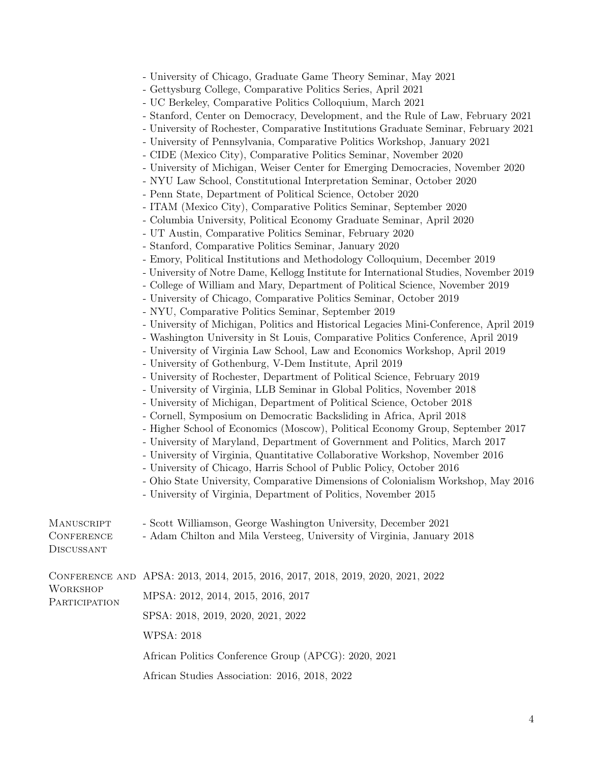|  |  |  |  | - University of Chicago, Graduate Game Theory Seminar, May 2021 |  |  |  |  |  |
|--|--|--|--|-----------------------------------------------------------------|--|--|--|--|--|
|--|--|--|--|-----------------------------------------------------------------|--|--|--|--|--|

- Gettysburg College, Comparative Politics Series, April 2021

- Stanford, Center on Democracy, Development, and the Rule of Law, February 2021
- University of Rochester, Comparative Institutions Graduate Seminar, February 2021
- University of Pennsylvania, Comparative Politics Workshop, January 2021
- CIDE (Mexico City), Comparative Politics Seminar, November 2020
- University of Michigan, Weiser Center for Emerging Democracies, November 2020
- NYU Law School, Constitutional Interpretation Seminar, October 2020
- Penn State, Department of Political Science, October 2020
- ITAM (Mexico City), Comparative Politics Seminar, September 2020
- Columbia University, Political Economy Graduate Seminar, April 2020
- UT Austin, Comparative Politics Seminar, February 2020
- Stanford, Comparative Politics Seminar, January 2020
- Emory, Political Institutions and Methodology Colloquium, December 2019
- University of Notre Dame, Kellogg Institute for International Studies, November 2019
- College of William and Mary, Department of Political Science, November 2019
- University of Chicago, Comparative Politics Seminar, October 2019
- NYU, Comparative Politics Seminar, September 2019
- University of Michigan, Politics and Historical Legacies Mini-Conference, April 2019
- Washington University in St Louis, Comparative Politics Conference, April 2019
- University of Virginia Law School, Law and Economics Workshop, April 2019
- University of Gothenburg, V-Dem Institute, April 2019
- University of Rochester, Department of Political Science, February 2019
- University of Virginia, LLB Seminar in Global Politics, November 2018
- University of Michigan, Department of Political Science, October 2018
- Cornell, Symposium on Democratic Backsliding in Africa, April 2018
- Higher School of Economics (Moscow), Political Economy Group, September 2017
- University of Maryland, Department of Government and Politics, March 2017
- University of Virginia, Quantitative Collaborative Workshop, November 2016
- University of Chicago, Harris School of Public Policy, October 2016
- Ohio State University, Comparative Dimensions of Colonialism Workshop, May 2016
- University of Virginia, Department of Politics, November 2015

| <b>MANUSCRIPT</b> |  |  | - Scott Williamson, George Washington University, December 2021 |  |
|-------------------|--|--|-----------------------------------------------------------------|--|
|                   |  |  |                                                                 |  |

- **CONFERENCE** - Adam Chilton and Mila Versteeg, University of Virginia, January 2018
- **DISCUSSANT**

| <b>WORKSHOP</b><br>PARTICIPATION | CONFERENCE AND APSA: 2013, 2014, 2015, 2016, 2017, 2018, 2019, 2020, 2021, 2022 |  |  |  |  |
|----------------------------------|---------------------------------------------------------------------------------|--|--|--|--|
|                                  | MPSA: 2012, 2014, 2015, 2016, 2017                                              |  |  |  |  |
|                                  | SPSA: 2018, 2019, 2020, 2021, 2022                                              |  |  |  |  |
|                                  | WPSA: 2018                                                                      |  |  |  |  |
|                                  | African Politics Conference Group (APCG): 2020, 2021                            |  |  |  |  |
|                                  |                                                                                 |  |  |  |  |

African Studies Association: 2016, 2018, 2022

<sup>-</sup> UC Berkeley, Comparative Politics Colloquium, March 2021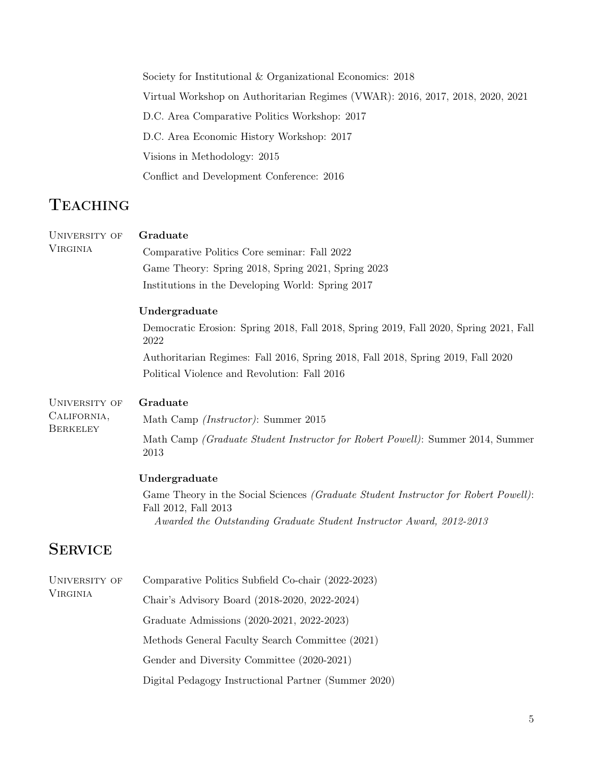Society for Institutional & Organizational Economics: 2018 Virtual Workshop on Authoritarian Regimes (VWAR): 2016, 2017, 2018, 2020, 2021 D.C. Area Comparative Politics Workshop: 2017 D.C. Area Economic History Workshop: 2017 Visions in Methodology: 2015 Conflict and Development Conference: 2016

## **TEACHING**

| UNIVERSITY OF<br><b>VIRGINIA</b>                | Graduate<br>Comparative Politics Core seminar: Fall 2022<br>Game Theory: Spring 2018, Spring 2021, Spring 2023<br>Institutions in the Developing World: Spring 2017<br>Undergraduate<br>Democratic Erosion: Spring 2018, Fall 2018, Spring 2019, Fall 2020, Spring 2021, Fall<br>2022<br>Authoritarian Regimes: Fall 2016, Spring 2018, Fall 2018, Spring 2019, Fall 2020<br>Political Violence and Revolution: Fall 2016 |
|-------------------------------------------------|---------------------------------------------------------------------------------------------------------------------------------------------------------------------------------------------------------------------------------------------------------------------------------------------------------------------------------------------------------------------------------------------------------------------------|
| UNIVERSITY OF<br>CALIFORNIA,<br><b>BERKELEY</b> | Graduate<br>Math Camp <i>(Instructor)</i> : Summer 2015<br>Math Camp <i>(Graduate Student Instructor for Robert Powell)</i> : Summer 2014, Summer<br>2013<br>Undergraduate<br>Game Theory in the Social Sciences <i>(Graduate Student Instructor for Robert Powell)</i> :<br>Fall 2012, Fall 2013<br>Awarded the Outstanding Graduate Student Instructor Award, 2012-2013                                                 |
| <b>SERVICE</b>                                  |                                                                                                                                                                                                                                                                                                                                                                                                                           |
| UNIVERSITY OF<br><b>VIRGINIA</b>                | Comparative Politics Subfield Co-chair (2022-2023)<br>Chair's Advisory Board (2018-2020, 2022-2024)<br>Graduate Admissions (2020-2021, 2022-2023)<br>Methods General Faculty Search Committee (2021)<br>Gender and Diversity Committee (2020-2021)                                                                                                                                                                        |

Digital Pedagogy Instructional Partner (Summer 2020)